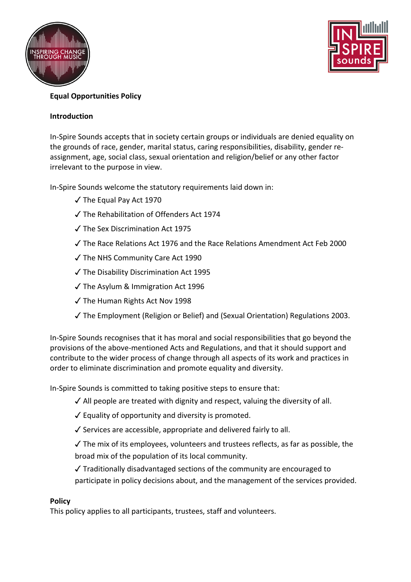



# **Equal Opportunities Policy**

# **Introduction**

In-Spire Sounds accepts that in society certain groups or individuals are denied equality on the grounds of race, gender, marital status, caring responsibilities, disability, gender reassignment, age, social class, sexual orientation and religion/belief or any other factor irrelevant to the purpose in view.

In-Spire Sounds welcome the statutory requirements laid down in:

- ✓ The Equal Pay Act 1970
- ✓ The Rehabilitation of Offenders Act 1974
- ✓ The Sex Discrimination Act 1975
- ✓ The Race Relations Act 1976 and the Race Relations Amendment Act Feb 2000
- ✓ The NHS Community Care Act 1990
- ✓ The Disability Discrimination Act 1995
- ✓ The Asylum & Immigration Act 1996
- ✓ The Human Rights Act Nov 1998
- ✓ The Employment (Religion or Belief) and (Sexual Orientation) Regulations 2003.

In-Spire Sounds recognises that it has moral and social responsibilities that go beyond the provisions of the above-mentioned Acts and Regulations, and that it should support and contribute to the wider process of change through all aspects of its work and practices in order to eliminate discrimination and promote equality and diversity.

In-Spire Sounds is committed to taking positive steps to ensure that:

- $\checkmark$  All people are treated with dignity and respect, valuing the diversity of all.
- ✓ Equality of opportunity and diversity is promoted.
- $\checkmark$  Services are accessible, appropriate and delivered fairly to all.
- $\checkmark$  The mix of its employees, volunteers and trustees reflects, as far as possible, the broad mix of the population of its local community.
- ✓ Traditionally disadvantaged sections of the community are encouraged to participate in policy decisions about, and the management of the services provided.

# **Policy**

This policy applies to all participants, trustees, staff and volunteers.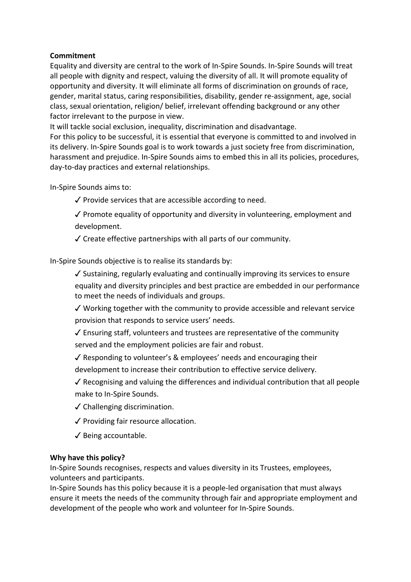# **Commitment**

Equality and diversity are central to the work of In-Spire Sounds. In-Spire Sounds will treat all people with dignity and respect, valuing the diversity of all. It will promote equality of opportunity and diversity. It will eliminate all forms of discrimination on grounds of race, gender, marital status, caring responsibilities, disability, gender re-assignment, age, social class, sexual orientation, religion/ belief, irrelevant offending background or any other factor irrelevant to the purpose in view.

It will tackle social exclusion, inequality, discrimination and disadvantage.

For this policy to be successful, it is essential that everyone is committed to and involved in its delivery. In-Spire Sounds goal is to work towards a just society free from discrimination, harassment and prejudice. In-Spire Sounds aims to embed this in all its policies, procedures, day-to-day practices and external relationships.

In-Spire Sounds aims to:

✓ Provide services that are accessible according to need.

✓ Promote equality of opportunity and diversity in volunteering, employment and development.

✓ Create effective partnerships with all parts of our community.

In-Spire Sounds objective is to realise its standards by:

✓ Sustaining, regularly evaluating and continually improving its services to ensure equality and diversity principles and best practice are embedded in our performance to meet the needs of individuals and groups.

✓ Working together with the community to provide accessible and relevant service provision that responds to service users' needs.

✓ Ensuring staff, volunteers and trustees are representative of the community served and the employment policies are fair and robust.

✓ Responding to volunteer's & employees' needs and encouraging their development to increase their contribution to effective service delivery.

✓ Recognising and valuing the differences and individual contribution that all people make to In-Spire Sounds.

✓ Challenging discrimination.

✓ Providing fair resource allocation.

✓ Being accountable.

### **Why have this policy?**

In-Spire Sounds recognises, respects and values diversity in its Trustees, employees, volunteers and participants.

In-Spire Sounds has this policy because it is a people-led organisation that must always ensure it meets the needs of the community through fair and appropriate employment and development of the people who work and volunteer for In-Spire Sounds.